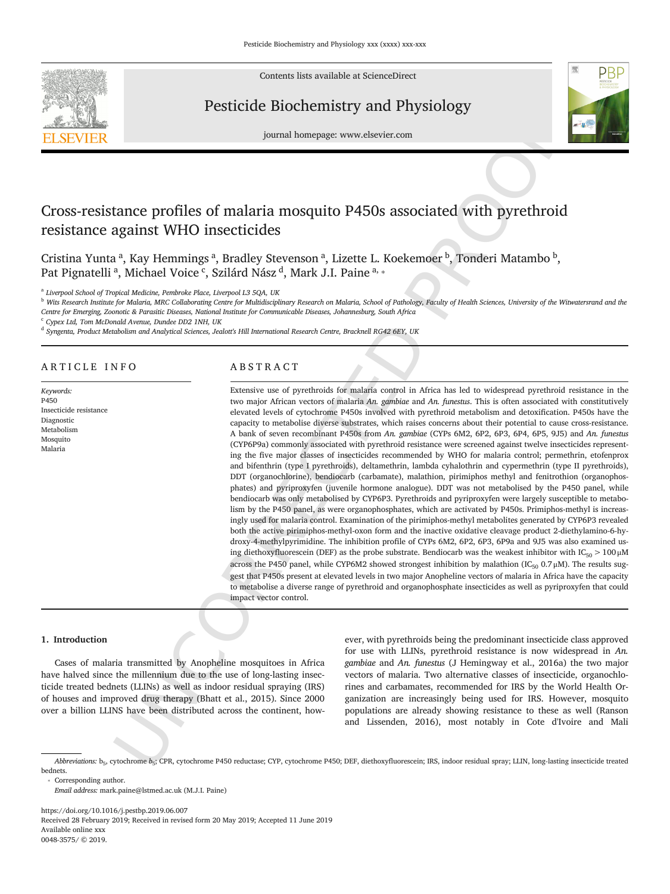

Contents lists available at ScienceDirect

Pesticide Biochemistry and Physiology



journal homepage: www.elsevier.com

# Cross-resistance profiles of malaria mosquito P450s associated with pyrethroid resistance against WHO insecticides

Cristina Yunta <sup>a</sup>, Kay Hemmings <sup>a</sup>, Bradley Stevenson <sup>a</sup>, Lizette L. Koekemoer <sup>b</sup>, Tonderi Matambo <sup>b</sup>, Pat Pignatelli <sup>a</sup>, Michael Voice <sup>c</sup>, Szilárd Nász <sup>d</sup>, Mark J.I. Paine <sup>a,</sup> \*

a *Liverpool School of Tropical Medicine, Pembroke Place, Liverpool L3 5QA, UK*

<sup>b</sup> Wits Research Institute for Malaria, MRC Collaborating Centre for Multidisciplinary Research on Malaria, School of Pathology, Faculty of Health Sciences, University of the Witwatersrand and the Centre for Emerging, Zoonotic & Parasitic Diseases, National Institute for Communicable Diseases, Johannesburg, South Africa

<sup>c</sup> *Cypex Ltd, Tom McDonald Avenue, Dundee DD2 1NH, UK*

<sup>d</sup> Syngenta, Product Metabolism and Analytical Sciences, Jealott's Hill International Research Centre, Bracknell RG42 6EY, UK

## ARTICLE INFO

*Keywords:* P450 Insecticide resistance Diagnostic Metabolism Mosquito Malaria

# ABSTRACT

isomal homogene www.element.com<br>
isomal homogene www.element.com<br>
isomal homogene www.element.com<br>
applied to the property of the control of the control of the control of the control of the control of the control of the c Extensive use of pyrethroids for malaria control in Africa has led to widespread pyrethroid resistance in the two major African vectors of malaria *An. gambiae* and *An. funestus*. This is often associated with constitutively elevated levels of cytochrome P450s involved with pyrethroid metabolism and detoxification. P450s have the capacity to metabolise diverse substrates, which raises concerns about their potential to cause cross-resistance. A bank of seven recombinant P450s from *An. gambiae* (CYPs 6M2, 6P2, 6P3, 6P4, 6P5, 9J5) and *An. funestus* (CYP6P9a) commonly associated with pyrethroid resistance were screened against twelve insecticides representing the five major classes of insecticides recommended by WHO for malaria control; permethrin, etofenprox and bifenthrin (type I pyrethroids), deltamethrin, lambda cyhalothrin and cypermethrin (type II pyrethroids), DDT (organochlorine), bendiocarb (carbamate), malathion, pirimiphos methyl and fenitrothion (organophosphates) and pyriproxyfen (juvenile hormone analogue). DDT was not metabolised by the P450 panel, while bendiocarb was only metabolised by CYP6P3. Pyrethroids and pyriproxyfen were largely susceptible to metabolism by the P450 panel, as were organophosphates, which are activated by P450s. Primiphos-methyl is increasingly used for malaria control. Examination of the pirimiphos-methyl metabolites generated by CYP6P3 revealed both the active pirimiphos-methyl-oxon form and the inactive oxidative cleavage product 2-diethylamino-6-hydroxy-4-methylpyrimidine. The inhibition profile of CYPs 6M2, 6P2, 6P3, 6P9a and 9J5 was also examined using diethoxyfluorescein (DEF) as the probe substrate. Bendiocarb was the weakest inhibitor with  $IC_{50} > 100 \mu M$ across the P450 panel, while CYP6M2 showed strongest inhibition by malathion  $(IC_{50}$  0.7 $\mu$ M). The results suggest that P450s present at elevated levels in two major Anopheline vectors of malaria in Africa have the capacity to metabolise a diverse range of pyrethroid and organophosphate insecticides as well as pyriproxyfen that could impact vector control.

## **1. Introduction**

Cases of malaria transmitted by Anopheline mosquitoes in Africa have halved since the millennium due to the use of long-lasting insecticide treated bednets (LLINs) as well as indoor residual spraying (IRS) of houses and improved drug therapy (Bhatt et al., 2015). Since 2000 over a billion LLINS have been distributed across the continent, how ever, with pyrethroids being the predominant insecticide class approved for use with LLINs, pyrethroid resistance is now widespread in *An. gambiae* and *An. funestus* (J Hemingway et al., 2016a) the two major vectors of malaria. Two alternative classes of insecticide, organochlorines and carbamates, recommended for IRS by the World Health Organization are increasingly being used for IRS. However, mosquito populations are already showing resistance to these as well (Ranson and Lissenden, 2016), most notably in Cote d'Ivoire and Mali

Corresponding author.

https://doi.org/10.1016/j.pestbp.2019.06.007 Received 28 February 2019; Received in revised form 20 May 2019; Accepted 11 June 2019 Available online xxx 0048-3575/ © 2019.

Abbreviations: b<sub>5</sub>, cytochrome b<sub>5</sub>; CPR, cytochrome P450 reductase; CYP, cytochrome P450; DEF, diethoxyfluorescein; IRS, indoor residual spray; LLIN, long-lasting insecticide treated bednets.

*Email address:* mark.paine@lstmed.ac.uk (M.J.I. Paine)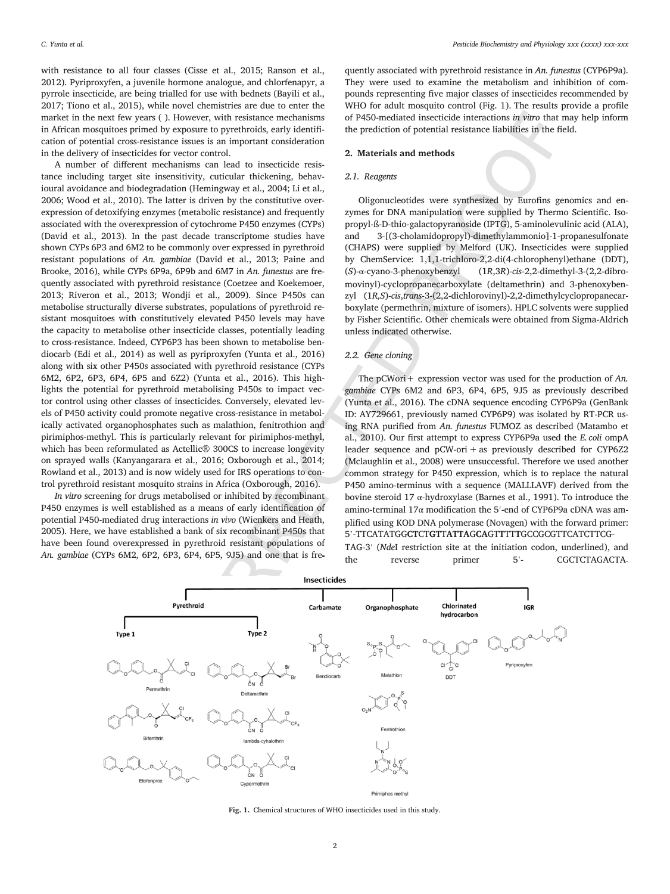with resistance to all four classes (Cisse et al., 2015; Ranson et al., 2012). Pyriproxyfen, a juvenile hormone analogue, and chlorfenapyr, a pyrrole insecticide, are being trialled for use with bednets (Bayili et al., 2017; Tiono et al., 2015), while novel chemistries are due to enter the market in the next few years ( ). However, with resistance mechanisms in African mosquitoes primed by exposure to pyrethroids, early identification of potential cross-resistance issues is an important consideration in the delivery of insecticides for vector control.

A number of different mechanisms can lead to insecticide resistance including target site insensitivity, cuticular thickening, behavioural avoidance and biodegradation (Hemingway et al., 2004; Li et al., 2006; Wood et al., 2010). The latter is driven by the constitutive overexpression of detoxifying enzymes (metabolic resistance) and frequently associated with the overexpression of cytochrome P450 enzymes (CYPs) (David et al., 2013). In the past decade transcriptome studies have shown CYPs 6P3 and 6M2 to be commonly over expressed in pyrethroid resistant populations of *An. gambiae* (David et al., 2013; Paine and Brooke, 2016), while CYPs 6P9a, 6P9b and 6M7 in *An. funestus* are frequently associated with pyrethroid resistance (Coetzee and Koekemoer, 2013; Riveron et al., 2013; Wondji et al., 2009). Since P450s can metabolise structurally diverse substrates, populations of pyrethroid resistant mosquitoes with constitutively elevated P450 levels may have the capacity to metabolise other insecticide classes, potentially leading to cross-resistance. Indeed, CYP6P3 has been shown to metabolise bendiocarb (Edi et al., 2014) as well as pyriproxyfen (Yunta et al., 2016) along with six other P450s associated with pyrethroid resistance (CYPs 6M2, 6P2, 6P3, 6P4, 6P5 and 6Z2) (Yunta et al., 2016). This highlights the potential for pyrethroid metabolising P450s to impact vector control using other classes of insecticides. Conversely, elevated levels of P450 activity could promote negative cross-resistance in metabolically activated organophosphates such as malathion, fenitrothion and pirimiphos-methyl. This is particularly relevant for pirimiphos-methyl, which has been reformulated as Actellic® 300CS to increase longevity on sprayed walls (Kanyangarara et al., 2016; Oxborough et al., 2014; Rowland et al., 2013) and is now widely used for IRS operations to control pyrethroid resistant mosquito strains in Africa (Oxborough, 2016).

*In vitro* screening for drugs metabolised or inhibited by recombinant P450 enzymes is well established as a means of early identification of potential P450-mediated drug interactions *in vivo* (Wienkers and Heath, 2005). Here, we have established a bank of six recombinant P450s that have been found overexpressed in pyrethroid resistant populations of *An. gambiae* (CYPs 6M2, 6P2, 6P3, 6P4, 6P5, 9J5) and one that is fre

quently associated with pyrethroid resistance in *An. funestus* (CYP6P9a). They were used to examine the metabolism and inhibition of compounds representing five major classes of insecticides recommended by WHO for adult mosquito control (Fig. 1). The results provide a profile of P450-mediated insecticide interactions *in vitro* that may help inform the prediction of potential resistance liabilities in the field.

## **2. Materials and methods**

## *2.1. Reagents*

Oligonucleotides were synthesized by Eurofins genomics and enzymes for DNA manipulation were supplied by Thermo Scientific. Isopropyl-ß-D-thio-galactopyranoside (IPTG), 5-aminolevulinic acid (ALA), and 3-[(3-cholamidopropyl)-dimethylammonio]-1-propanesulfonate (CHAPS) were supplied by Melford (UK). Insecticides were supplied by ChemService: 1,1,1-trichloro-2,2-di(4-chlorophenyl)ethane (DDT), (*S*)-α-cyano-3-phenoxybenzyl (1*R*,3*R*)-*cis*-2,2-dimethyl-3-(2,2-dibromovinyl)-cyclopropanecarboxylate (deltamethrin) and 3-phenoxybenzyl (1*R,S*)-*cis*,*trans*-3-(2,2-dichlorovinyl)-2,2-dimethylcyclopropanecarboxylate (permethrin, mixture of isomers). HPLC solvents were supplied by Fisher Scientific. Other chemicals were obtained from Sigma-Aldrich unless indicated otherwise.

## *2.2. Gene cloning*

The pCWori + expression vector was used for the production of *An*. *gambiae* CYPs 6M2 and 6P3, 6P4, 6P5, 9J5 as previously described (Yunta et al., 2016). The cDNA sequence encoding CYP6P9a (GenBank ID: AY729661, previously named CYP6P9) was isolated by RT-PCR using RNA purified from *An. funestus* FUMOZ as described (Matambo et al., 2010). Our first attempt to express CYP6P9a used the *E. coli* ompA leader sequence and  $pCW-ori + as$  previously described for CYP6Z2 (Mclaughlin et al., 2008) were unsuccessful. Therefore we used another common strategy for P450 expression, which is to replace the natural P450 amino-terminus with a sequence (MALLLAVF) derived from the bovine steroid 17 α-hydroxylase (Barnes et al., 1991). To introduce the amino-terminal 17α modification the 5′-end of CYP6P9a cDNA was amplified using KOD DNA polymerase (Novagen) with the forward primer: 5'-TTCATATGG**CT**CT**GT**T**ATTA**G**CA**GT**T**TT**T**GCCGCGTTCATCTTCG-TAG-3′ (*Nde*I restriction site at the initiation codon, underlined), and

the reverse primer 5′- CGCTCTAGACTA-



**Fig. 1.** Chemical structures of WHO insecticides used in this study.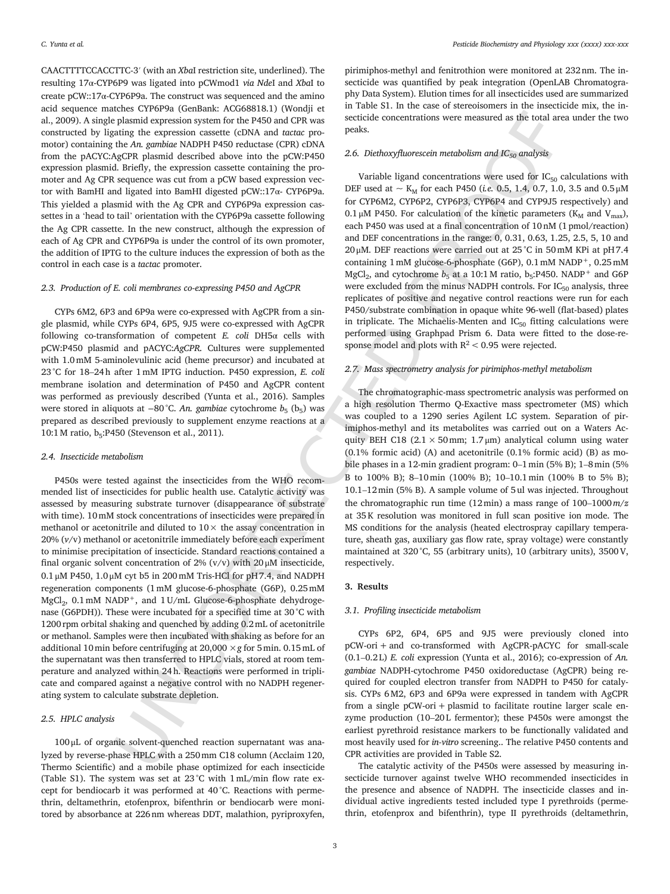CAACTTTTCCACCTTC-3′ (with an *Xba*I restriction site, underlined). The resulting 17α-CYP6P9 was ligated into pCWmod1 *via Nde*I and *Xba*I to create pCW::17α-CYP6P9a. The construct was sequenced and the amino acid sequence matches CYP6P9a (GenBank: ACG68818.1) (Wondji et al., 2009). A single plasmid expression system for the P450 and CPR was constructed by ligating the expression cassette (cDNA and *tactac* promotor) containing the *An. gambiae* NADPH P450 reductase (CPR) cDNA from the pACYC:AgCPR plasmid described above into the pCW:P450 expression plasmid. Briefly, the expression cassette containing the promoter and Ag CPR sequence was cut from a pCW based expression vector with BamHI and ligated into BamHI digested pCW::17α- CYP6P9a. This yielded a plasmid with the Ag CPR and CYP6P9a expression cassettes in a 'head to tail' orientation with the CYP6P9a cassette following the Ag CPR cassette. In the new construct, although the expression of each of Ag CPR and CYP6P9a is under the control of its own promoter, the addition of IPTG to the culture induces the expression of both as the control in each case is a *tactac* promoter.

#### *2.3. Production of E. coli membranes co-expressing P450 and AgCPR*

CYPs 6M2, 6P3 and 6P9a were co-expressed with AgCPR from a single plasmid, while CYPs 6P4, 6P5, 9J5 were co-expressed with AgCPR following co-transformation of competent *E. coli* DH5α cells with pCW:P450 plasmid and pACYC:*AgCPR.* Cultures were supplemented with 1.0mM 5-aminolevulinic acid (heme precursor) and incubated at 23°C for 18–24h after 1mM IPTG induction. P450 expression, *E. coli* membrane isolation and determination of P450 and AgCPR content was performed as previously described (Yunta et al., 2016). Samples were stored in aliquots at −80 °C. *An. gambiae* cytochrome  $b_5$  ( $b_5$ ) was prepared as described previously to supplement enzyme reactions at a 10:1 M ratio, b<sub>5</sub>:P450 (Stevenson et al., 2011).

#### *2.4. Insecticide metabolism*

plasmal dependent on the TPAS paid 478 cm<br>
adding the expectation onset to CNN and such the presentation convention wave measured as fit is all are specified to the CNN and such the CNN and such the CNN and such the CNN a P450s were tested against the insecticides from the WHO recommended list of insecticides for public health use. Catalytic activity was assessed by measuring substrate turnover (disappearance of substrate with time). 10mM stock concentrations of insecticides were prepared in methanol or acetonitrile and diluted to  $10 \times$  the assay concentration in 20% (*v*/v) methanol or acetonitrile immediately before each experiment to minimise precipitation of insecticide. Standard reactions contained a final organic solvent concentration of 2% (v/v) with  $20 \mu$ M insecticide, 0.1μM P450, 1.0μM cyt b5 in 200mM Tris-HCl for pH7.4, and NADPH regeneration components (1mM glucose-6-phosphate (G6P), 0.25mM MgCl<sub>2</sub>, 0.1 mM NADP<sup>+</sup>, and 1 U/mL Glucose-6-phosphate dehydrogenase (G6PDH)). These were incubated for a specified time at 30°C with 1200 rpm orbital shaking and quenched by adding 0.2mL of acetonitrile or methanol. Samples were then incubated with shaking as before for an additional 10min before centrifuging at 20,000×*g* for 5min. 0.15mL of the supernatant was then transferred to HPLC vials, stored at room temperature and analyzed within 24h. Reactions were performed in triplicate and compared against a negative control with no NADPH regenerating system to calculate substrate depletion.

## *2.5. HPLC analysis*

100μL of organic solvent-quenched reaction supernatant was analyzed by reverse-phase HPLC with a 250mm C18 column (Acclaim 120, Thermo Scientific) and a mobile phase optimized for each insecticide (Table S1). The system was set at 23°C with 1mL/min flow rate except for bendiocarb it was performed at 40°C. Reactions with permethrin, deltamethrin, etofenprox, bifenthrin or bendiocarb were monitored by absorbance at 226nm whereas DDT, malathion, pyriproxyfen,

pirimiphos-methyl and fenitrothion were monitored at 232nm. The insecticide was quantified by peak integration (OpenLAB ChromatographyData System). Elution times for all insecticides used are summarized in Table S1. In the case of stereoisomers in the insecticide mix, the insecticide concentrations were measured as the total area under the two peaks.

#### *2.6. Diethoxyfluorescein metabolism and IC<sup>50</sup> analysis*

Variable ligand concentrations were used for  $IC_{50}$  calculations with DEF used at  $\sim K_M$  for each P450 (*i.e.* 0.5, 1.4, 0.7, 1.0, 3.5 and 0.5  $\mu$ M for CYP6M2, CYP6P2, CYP6P3, CYP6P4 and CYP9J5 respectively) and 0.1μM P450. For calculation of the kinetic parameters (K<sub>M</sub> and V<sub>max</sub>), each P450 was used at a final concentration of 10nM (1pmol/reaction) and DEF concentrations in the range: 0, 0.31, 0.63, 1.25, 2.5, 5, 10 and 20μM. DEF reactions were carried out at 25°C in 50mM KPi at pH7.4 containing  $1 \text{ mM glucose-6-phosphate (G6P), } 0.1 \text{ mM NADP}^+$ ,  $0.25 \text{ mM}$  $MgCl<sub>2</sub>$ , and cytochrome  $b<sub>5</sub>$  at a 10:1 M ratio,  $b<sub>5</sub>:P450$ . NADP<sup>+</sup> and G6P were excluded from the minus NADPH controls. For  $IC_{50}$  analysis, three replicates of positive and negative control reactions were run for each P450/substrate combination in opaque white 96-well (flat-based) plates in triplicate. The Michaelis-Menten and  $IC_{50}$  fitting calculations were performed using Graphpad Prism 6. Data were fitted to the dose-response model and plots with  $R^2 < 0.95$  were rejected.

## *2.7. Mass spectrometry analysis for pirimiphos-methyl metabolism*

The chromatographic-mass spectrometric analysis was performed on a high resolution Thermo Q-Exactive mass spectrometer (MS) which was coupled to a 1290 series Agilent LC system. Separation of pirimiphos-methyl and its metabolites was carried out on a Waters Acquity BEH C18 (2.1  $\times$  50 mm; 1.7 µm) analytical column using water (0.1% formic acid) (A) and acetonitrile (0.1% formic acid) (B) as mobile phases in a 12-min gradient program: 0–1min (5% B); 1–8min (5% B to 100% B); 8–10min (100% B); 10–10.1min (100% B to 5% B); 10.1–12min (5% B). A sample volume of 5ul was injected. Throughout the chromatographic run time (12min) a mass range of 100–1000*m*/*z* at 35K resolution was monitored in full scan positive ion mode. The MS conditions for the analysis (heated electrospray capillary temperature, sheath gas, auxiliary gas flow rate, spray voltage) were constantly maintained at 320°C, 55 (arbitrary units), 10 (arbitrary units), 3500V, respectively.

## **3. Results**

#### *3.1. Profiling insecticide metabolism*

CYPs 6P2, 6P4, 6P5 and 9J5 were previously cloned into pCW-ori+and co-transformed with AgCPR-pACYC for small-scale (0.1–0.2L) *E. coli* expression (Yunta et al., 2016); co-expression of *An. gambiae* NADPH-cytochrome P450 oxidoreductase (AgCPR) being required for coupled electron transfer from NADPH to P450 for catalysis. CYPs 6M2, 6P3 and 6P9a were expressed in tandem with AgCPR from a single  $pCW-ori + plasmid$  to facilitate routine larger scale enzyme production (10–20L fermentor); these P450s were amongst the earliest pyrethroid resistance markers to be functionally validated and most heavily used for *in-vitro* screening.. The relative P450 contents and CPR activities are provided in Table S2.

The catalytic activity of the P450s were assessed by measuring insecticide turnover against twelve WHO recommended insecticides in the presence and absence of NADPH. The insecticide classes and individual active ingredients tested included type I pyrethroids (permethrin, etofenprox and bifenthrin), type II pyrethroids (deltamethrin,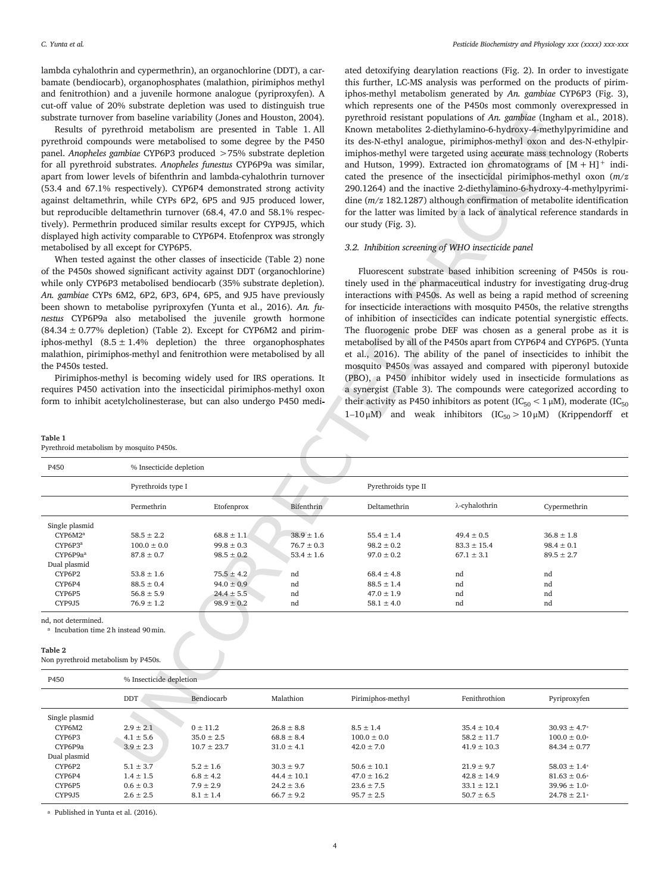lambda cyhalothrin and cypermethrin), an organochlorine (DDT), a carbamate (bendiocarb), organophosphates (malathion, pirimiphos methyl and fenitrothion) and a juvenile hormone analogue (pyriproxyfen). A cut-off value of 20% substrate depletion was used to distinguish true substrate turnover from baseline variability (Jones and Houston, 2004).

| Table 1                                  |  |
|------------------------------------------|--|
| Pyrethroid metabolism by mosquito P450s. |  |

ated detoxifying dearylation reactions (Fig. 2). In order to investigate this further, LC-MS analysis was performed on the products of pirimiphos-methyl metabolism generated by *An. gambiae* CYP6P3 (Fig. 3), which represents one of the P450s most commonly overexpressed in pyrethroid resistant populations of *An. gambiae* (Ingham et al., 2018). Known metabolites 2-diethylamino-6-hydroxy-4-methylpyrimidine and its des-N-ethyl analogue, pirimiphos-methyl oxon and des-N-ethylpirimiphos-methyl were targeted using accurate mass technology (Roberts and Hutson, 1999). Extracted ion chromatograms of  $[M + H]$ <sup>+</sup> indicated the presence of the insecticidal pirimiphos-methyl oxon (*m*/*z* 290.1264) and the inactive 2-diethylamino-6-hydroxy-4-methylpyrimidine (*m*/*z* 182.1287) although confirmation of metabolite identification for the latter was limited by a lack of analytical reference standards in our study (Fig. 3).

## *3.2. Inhibition screening of WHO insecticide panel*

| substrate turnover from baseline variability (Jones and Houston, 2004).<br>Results of pyrethroid metabolism are presented in Table 1. All<br>pyrethroid compounds were metabolised to some degree by the P450<br>panel. Anopheles gambiae CYP6P3 produced >75% substrate depletion<br>for all pyrethroid substrates. Anopheles funestus CYP6P9a was similar,<br>apart from lower levels of bifenthrin and lambda-cyhalothrin turnover<br>(53.4 and 67.1% respectively). CYP6P4 demonstrated strong activity<br>against deltamethrin, while CYPs 6P2, 6P5 and 9J5 produced lower,<br>but reproducible deltamethrin turnover (68.4, 47.0 and 58.1% respec-<br>tively). Permethrin produced similar results except for CYP9J5, which<br>displayed high activity comparable to CYP6P4. Etofenprox was strongly<br>metabolised by all except for CYP6P5.<br>When tested against the other classes of insecticide (Table 2) none<br>of the P450s showed significant activity against DDT (organochlorine)<br>while only CYP6P3 metabolised bendiocarb (35% substrate depletion).<br>An. gambiae CYPs 6M2, 6P2, 6P3, 6P4, 6P5, and 9J5 have previously<br>been shown to metabolise pyriproxyfen (Yunta et al., 2016). An. fu-<br>nestus CYP6P9a also metabolised the juvenile growth hormone<br>$(84.34 \pm 0.77\%$ depletion) (Table 2). Except for CYP6M2 and pirim-<br>iphos-methyl $(8.5 \pm 1.4\%$ depletion) the three organophosphates<br>malathion, pirimiphos-methyl and fenitrothion were metabolised by all<br>the P450s tested.<br>Pirimiphos-methyl is becoming widely used for IRS operations. It<br>requires P450 activation into the insecticidal pirimiphos-methyl oxon<br>form to inhibit acetylcholinesterase, but can also undergo P450 medi- |                                                                     |                                  |                                  | pyrethroid resistant populations of An. gambiae (Ingham et al., 2018).<br>Known metabolites 2-diethylamino-6-hydroxy-4-methylpyrimidine and<br>its des-N-ethyl analogue, pirimiphos-methyl oxon and des-N-ethylpir-<br>imiphos-methyl were targeted using accurate mass technology (Roberts<br>and Hutson, 1999). Extracted ion chromatograms of $[M + H]$ <sup>+</sup> indi-<br>cated the presence of the insecticidal pirimiphos-methyl oxon $(m/z)$<br>290.1264) and the inactive 2-diethylamino-6-hydroxy-4-methylpyrimi-<br>dine $(m/z 182.1287)$ although confirmation of metabolite identification<br>for the latter was limited by a lack of analytical reference standards in<br>our study (Fig. 3).<br>3.2. Inhibition screening of WHO insecticide panel<br>Fluorescent substrate based inhibition screening of P450s is rou-<br>tinely used in the pharmaceutical industry for investigating drug-drug<br>interactions with P450s. As well as being a rapid method of screening<br>for insecticide interactions with mosquito P450s, the relative strengths<br>of inhibition of insecticides can indicate potential synergistic effects.<br>The fluorogenic probe DEF was chosen as a general probe as it is<br>metabolised by all of the P450s apart from CYP6P4 and CYP6P5. (Yunta<br>et al., 2016). The ability of the panel of insecticides to inhibit the<br>mosquito P450s was assayed and compared with piperonyl butoxide<br>(PBO), a P450 inhibitor widely used in insecticide formulations as<br>a synergist (Table 3). The compounds were categorized according to<br>their activity as P450 inhibitors as potent (IC <sub>50</sub> < 1 $\mu$ M), moderate (IC <sub>50</sub><br>1-10 $\mu$ M) and weak inhibitors (IC <sub>50</sub> > 10 $\mu$ M) (Krippendorff et |                 |                                  |  |
|------------------------------------------------------------------------------------------------------------------------------------------------------------------------------------------------------------------------------------------------------------------------------------------------------------------------------------------------------------------------------------------------------------------------------------------------------------------------------------------------------------------------------------------------------------------------------------------------------------------------------------------------------------------------------------------------------------------------------------------------------------------------------------------------------------------------------------------------------------------------------------------------------------------------------------------------------------------------------------------------------------------------------------------------------------------------------------------------------------------------------------------------------------------------------------------------------------------------------------------------------------------------------------------------------------------------------------------------------------------------------------------------------------------------------------------------------------------------------------------------------------------------------------------------------------------------------------------------------------------------------------------------------------------------------------------------------------------------------------------------------------|---------------------------------------------------------------------|----------------------------------|----------------------------------|-------------------------------------------------------------------------------------------------------------------------------------------------------------------------------------------------------------------------------------------------------------------------------------------------------------------------------------------------------------------------------------------------------------------------------------------------------------------------------------------------------------------------------------------------------------------------------------------------------------------------------------------------------------------------------------------------------------------------------------------------------------------------------------------------------------------------------------------------------------------------------------------------------------------------------------------------------------------------------------------------------------------------------------------------------------------------------------------------------------------------------------------------------------------------------------------------------------------------------------------------------------------------------------------------------------------------------------------------------------------------------------------------------------------------------------------------------------------------------------------------------------------------------------------------------------------------------------------------------------------------------------------------------------------------------------------------------------------------------------------------------------------------------------------|-----------------|----------------------------------|--|
| Table 1<br>P450                                                                                                                                                                                                                                                                                                                                                                                                                                                                                                                                                                                                                                                                                                                                                                                                                                                                                                                                                                                                                                                                                                                                                                                                                                                                                                                                                                                                                                                                                                                                                                                                                                                                                                                                            | Pyrethroid metabolism by mosquito P450s.<br>% Insecticide depletion |                                  |                                  |                                                                                                                                                                                                                                                                                                                                                                                                                                                                                                                                                                                                                                                                                                                                                                                                                                                                                                                                                                                                                                                                                                                                                                                                                                                                                                                                                                                                                                                                                                                                                                                                                                                                                                                                                                                           |                 |                                  |  |
|                                                                                                                                                                                                                                                                                                                                                                                                                                                                                                                                                                                                                                                                                                                                                                                                                                                                                                                                                                                                                                                                                                                                                                                                                                                                                                                                                                                                                                                                                                                                                                                                                                                                                                                                                            |                                                                     | Pyrethroids type I               |                                  | Pyrethroids type II                                                                                                                                                                                                                                                                                                                                                                                                                                                                                                                                                                                                                                                                                                                                                                                                                                                                                                                                                                                                                                                                                                                                                                                                                                                                                                                                                                                                                                                                                                                                                                                                                                                                                                                                                                       |                 |                                  |  |
|                                                                                                                                                                                                                                                                                                                                                                                                                                                                                                                                                                                                                                                                                                                                                                                                                                                                                                                                                                                                                                                                                                                                                                                                                                                                                                                                                                                                                                                                                                                                                                                                                                                                                                                                                            | Permethrin                                                          | Etofenprox                       | Bifenthrin                       | Deltamethrin                                                                                                                                                                                                                                                                                                                                                                                                                                                                                                                                                                                                                                                                                                                                                                                                                                                                                                                                                                                                                                                                                                                                                                                                                                                                                                                                                                                                                                                                                                                                                                                                                                                                                                                                                                              | λ-cyhalothrin   | Cypermethrin                     |  |
| Single plasmid                                                                                                                                                                                                                                                                                                                                                                                                                                                                                                                                                                                                                                                                                                                                                                                                                                                                                                                                                                                                                                                                                                                                                                                                                                                                                                                                                                                                                                                                                                                                                                                                                                                                                                                                             |                                                                     |                                  |                                  |                                                                                                                                                                                                                                                                                                                                                                                                                                                                                                                                                                                                                                                                                                                                                                                                                                                                                                                                                                                                                                                                                                                                                                                                                                                                                                                                                                                                                                                                                                                                                                                                                                                                                                                                                                                           |                 |                                  |  |
| CYP6M2 <sup>a</sup>                                                                                                                                                                                                                                                                                                                                                                                                                                                                                                                                                                                                                                                                                                                                                                                                                                                                                                                                                                                                                                                                                                                                                                                                                                                                                                                                                                                                                                                                                                                                                                                                                                                                                                                                        | $58.5 \pm 2.2$                                                      | $68.8 \pm 1.1$                   | $38.9 \pm 1.6$                   | $55.4 \pm 1.4$                                                                                                                                                                                                                                                                                                                                                                                                                                                                                                                                                                                                                                                                                                                                                                                                                                                                                                                                                                                                                                                                                                                                                                                                                                                                                                                                                                                                                                                                                                                                                                                                                                                                                                                                                                            | $49.4 \pm 0.5$  | $36.8 \pm 1.8$                   |  |
| CYP6P3 <sup>a</sup><br>CYP6P9aª                                                                                                                                                                                                                                                                                                                                                                                                                                                                                                                                                                                                                                                                                                                                                                                                                                                                                                                                                                                                                                                                                                                                                                                                                                                                                                                                                                                                                                                                                                                                                                                                                                                                                                                            | $100.0 \pm 0.0$                                                     | $99.8 \pm 0.3$<br>$98.5 \pm 0.2$ | $76.7 \pm 0.3$<br>$53.4 \pm 1.6$ | $98.2 \pm 0.2$<br>$97.0 \pm 0.2$                                                                                                                                                                                                                                                                                                                                                                                                                                                                                                                                                                                                                                                                                                                                                                                                                                                                                                                                                                                                                                                                                                                                                                                                                                                                                                                                                                                                                                                                                                                                                                                                                                                                                                                                                          | $83.3 \pm 15.4$ | $98.4 \pm 0.1$<br>$89.5 \pm 2.7$ |  |
| Dual plasmid                                                                                                                                                                                                                                                                                                                                                                                                                                                                                                                                                                                                                                                                                                                                                                                                                                                                                                                                                                                                                                                                                                                                                                                                                                                                                                                                                                                                                                                                                                                                                                                                                                                                                                                                               | $87.8 \pm 0.7$                                                      |                                  |                                  |                                                                                                                                                                                                                                                                                                                                                                                                                                                                                                                                                                                                                                                                                                                                                                                                                                                                                                                                                                                                                                                                                                                                                                                                                                                                                                                                                                                                                                                                                                                                                                                                                                                                                                                                                                                           | $67.1 \pm 3.1$  |                                  |  |
| CYP6P2                                                                                                                                                                                                                                                                                                                                                                                                                                                                                                                                                                                                                                                                                                                                                                                                                                                                                                                                                                                                                                                                                                                                                                                                                                                                                                                                                                                                                                                                                                                                                                                                                                                                                                                                                     | $53.8 \pm 1.6$                                                      | $75.5 \pm 4.2$                   | nd                               | $68.4 \pm 4.8$                                                                                                                                                                                                                                                                                                                                                                                                                                                                                                                                                                                                                                                                                                                                                                                                                                                                                                                                                                                                                                                                                                                                                                                                                                                                                                                                                                                                                                                                                                                                                                                                                                                                                                                                                                            | nd              | nd                               |  |
| CYP6P4                                                                                                                                                                                                                                                                                                                                                                                                                                                                                                                                                                                                                                                                                                                                                                                                                                                                                                                                                                                                                                                                                                                                                                                                                                                                                                                                                                                                                                                                                                                                                                                                                                                                                                                                                     | $88.5 \pm 0.4$                                                      | $94.0 \pm 0.9$                   | nd                               | $88.5 \pm 1.4$                                                                                                                                                                                                                                                                                                                                                                                                                                                                                                                                                                                                                                                                                                                                                                                                                                                                                                                                                                                                                                                                                                                                                                                                                                                                                                                                                                                                                                                                                                                                                                                                                                                                                                                                                                            | nd              | nd                               |  |
| CYP6P5                                                                                                                                                                                                                                                                                                                                                                                                                                                                                                                                                                                                                                                                                                                                                                                                                                                                                                                                                                                                                                                                                                                                                                                                                                                                                                                                                                                                                                                                                                                                                                                                                                                                                                                                                     | $56.8 \pm 5.9$                                                      | $24.4 \pm 5.5$                   | nd                               | $47.0 \pm 1.9$                                                                                                                                                                                                                                                                                                                                                                                                                                                                                                                                                                                                                                                                                                                                                                                                                                                                                                                                                                                                                                                                                                                                                                                                                                                                                                                                                                                                                                                                                                                                                                                                                                                                                                                                                                            | nd              | nd                               |  |
| CYP9J5                                                                                                                                                                                                                                                                                                                                                                                                                                                                                                                                                                                                                                                                                                                                                                                                                                                                                                                                                                                                                                                                                                                                                                                                                                                                                                                                                                                                                                                                                                                                                                                                                                                                                                                                                     | $76.9 \pm 1.2$                                                      | $98.9 \pm 0.2$                   | nd                               | $58.1 \pm 4.0$                                                                                                                                                                                                                                                                                                                                                                                                                                                                                                                                                                                                                                                                                                                                                                                                                                                                                                                                                                                                                                                                                                                                                                                                                                                                                                                                                                                                                                                                                                                                                                                                                                                                                                                                                                            | nd              | nd                               |  |
| nd, not determined.<br><sup>a</sup> Incubation time 2h instead 90 min.<br>Table 2<br>Non pyrethroid metabolism by P450s.                                                                                                                                                                                                                                                                                                                                                                                                                                                                                                                                                                                                                                                                                                                                                                                                                                                                                                                                                                                                                                                                                                                                                                                                                                                                                                                                                                                                                                                                                                                                                                                                                                   |                                                                     |                                  |                                  |                                                                                                                                                                                                                                                                                                                                                                                                                                                                                                                                                                                                                                                                                                                                                                                                                                                                                                                                                                                                                                                                                                                                                                                                                                                                                                                                                                                                                                                                                                                                                                                                                                                                                                                                                                                           |                 |                                  |  |
| P450                                                                                                                                                                                                                                                                                                                                                                                                                                                                                                                                                                                                                                                                                                                                                                                                                                                                                                                                                                                                                                                                                                                                                                                                                                                                                                                                                                                                                                                                                                                                                                                                                                                                                                                                                       | % Insecticide depletion                                             |                                  |                                  |                                                                                                                                                                                                                                                                                                                                                                                                                                                                                                                                                                                                                                                                                                                                                                                                                                                                                                                                                                                                                                                                                                                                                                                                                                                                                                                                                                                                                                                                                                                                                                                                                                                                                                                                                                                           |                 |                                  |  |
|                                                                                                                                                                                                                                                                                                                                                                                                                                                                                                                                                                                                                                                                                                                                                                                                                                                                                                                                                                                                                                                                                                                                                                                                                                                                                                                                                                                                                                                                                                                                                                                                                                                                                                                                                            | DDT                                                                 | Bendiocarb                       | Malathion                        | Pirimiphos-methyl                                                                                                                                                                                                                                                                                                                                                                                                                                                                                                                                                                                                                                                                                                                                                                                                                                                                                                                                                                                                                                                                                                                                                                                                                                                                                                                                                                                                                                                                                                                                                                                                                                                                                                                                                                         | Fenithrothion   | Pyriproxyfen                     |  |
| Single plasmid                                                                                                                                                                                                                                                                                                                                                                                                                                                                                                                                                                                                                                                                                                                                                                                                                                                                                                                                                                                                                                                                                                                                                                                                                                                                                                                                                                                                                                                                                                                                                                                                                                                                                                                                             |                                                                     |                                  |                                  |                                                                                                                                                                                                                                                                                                                                                                                                                                                                                                                                                                                                                                                                                                                                                                                                                                                                                                                                                                                                                                                                                                                                                                                                                                                                                                                                                                                                                                                                                                                                                                                                                                                                                                                                                                                           |                 |                                  |  |
| CYP6M2                                                                                                                                                                                                                                                                                                                                                                                                                                                                                                                                                                                                                                                                                                                                                                                                                                                                                                                                                                                                                                                                                                                                                                                                                                                                                                                                                                                                                                                                                                                                                                                                                                                                                                                                                     | $2.9 \pm 2.1$                                                       | $0 \pm 11.2$                     | $26.8 \pm 8.8$                   | $8.5 \pm 1.4$                                                                                                                                                                                                                                                                                                                                                                                                                                                                                                                                                                                                                                                                                                                                                                                                                                                                                                                                                                                                                                                                                                                                                                                                                                                                                                                                                                                                                                                                                                                                                                                                                                                                                                                                                                             | $35.4 \pm 10.4$ | $30.93 \pm 4.7*$                 |  |
| CYP6P3                                                                                                                                                                                                                                                                                                                                                                                                                                                                                                                                                                                                                                                                                                                                                                                                                                                                                                                                                                                                                                                                                                                                                                                                                                                                                                                                                                                                                                                                                                                                                                                                                                                                                                                                                     | $4.1 \pm 5.6$                                                       | $35.0 \pm 2.5$                   | $68.8 \pm 8.4$                   | $100.0 \pm 0.0$                                                                                                                                                                                                                                                                                                                                                                                                                                                                                                                                                                                                                                                                                                                                                                                                                                                                                                                                                                                                                                                                                                                                                                                                                                                                                                                                                                                                                                                                                                                                                                                                                                                                                                                                                                           | $58.2 \pm 11.7$ | $100.0 \pm 0.0*$                 |  |
| CYP6P9a                                                                                                                                                                                                                                                                                                                                                                                                                                                                                                                                                                                                                                                                                                                                                                                                                                                                                                                                                                                                                                                                                                                                                                                                                                                                                                                                                                                                                                                                                                                                                                                                                                                                                                                                                    | $3.9 \pm 2.3$                                                       | $10.7 \pm 23.7$                  | $31.0 \pm 4.1$                   | $42.0 \pm 7.0$                                                                                                                                                                                                                                                                                                                                                                                                                                                                                                                                                                                                                                                                                                                                                                                                                                                                                                                                                                                                                                                                                                                                                                                                                                                                                                                                                                                                                                                                                                                                                                                                                                                                                                                                                                            | $41.9 \pm 10.3$ | $84.34 \pm 0.77$                 |  |
| Dual plasmid                                                                                                                                                                                                                                                                                                                                                                                                                                                                                                                                                                                                                                                                                                                                                                                                                                                                                                                                                                                                                                                                                                                                                                                                                                                                                                                                                                                                                                                                                                                                                                                                                                                                                                                                               |                                                                     |                                  |                                  |                                                                                                                                                                                                                                                                                                                                                                                                                                                                                                                                                                                                                                                                                                                                                                                                                                                                                                                                                                                                                                                                                                                                                                                                                                                                                                                                                                                                                                                                                                                                                                                                                                                                                                                                                                                           |                 |                                  |  |
| CYP6P2                                                                                                                                                                                                                                                                                                                                                                                                                                                                                                                                                                                                                                                                                                                                                                                                                                                                                                                                                                                                                                                                                                                                                                                                                                                                                                                                                                                                                                                                                                                                                                                                                                                                                                                                                     | $5.1 \pm 3.7$                                                       | $5.2 \pm 1.6$                    | $30.3 \pm 9.7$                   | $50.6 \pm 10.1$                                                                                                                                                                                                                                                                                                                                                                                                                                                                                                                                                                                                                                                                                                                                                                                                                                                                                                                                                                                                                                                                                                                                                                                                                                                                                                                                                                                                                                                                                                                                                                                                                                                                                                                                                                           | $21.9 \pm 9.7$  | $58.03 \pm 1.4*$                 |  |

#### **Table 2**

| P450           | % Insecticide depletion |               |                 |                   |                 |                   |  |
|----------------|-------------------------|---------------|-----------------|-------------------|-----------------|-------------------|--|
|                | <b>DDT</b>              | Bendiocarb    | Malathion       | Pirimiphos-methyl | Fenithrothion   | Pyriproxyfen      |  |
| Single plasmid |                         |               |                 |                   |                 |                   |  |
| <b>CYP6M2</b>  | $2.9 \pm 2.1$           | $0 \pm 11.2$  | $26.8 \pm 8.8$  | $8.5 \pm 1.4$     | $35.4 \pm 10.4$ | $30.93 + 4.7*$    |  |
| CYP6P3         | $4.1 \pm 5.6$           | $35.0 + 2.5$  | $68.8 + 8.4$    | $100.0 + 0.0$     | $58.2 + 11.7$   | $100.0 + 0.0*$    |  |
| CYP6P9a        | $3.9 \pm 2.3$           | $10.7 + 23.7$ | $31.0 + 4.1$    | $42.0 + 7.0$      | $41.9 + 10.3$   | $84.34 \pm 0.77$  |  |
| Dual plasmid   |                         |               |                 |                   |                 |                   |  |
| CYP6P2         | $5.1 \pm 3.7$           | $5.2 \pm 1.6$ | $30.3 \pm 9.7$  | $50.6 \pm 10.1$   | $21.9 \pm 9.7$  | $58.03 \pm 1.4*$  |  |
| CYP6P4         | $1.4 \pm 1.5$           | $6.8 + 4.2$   | $44.4 \pm 10.1$ | $47.0 \pm 16.2$   | $42.8 \pm 14.9$ | $81.63 \pm 0.6^*$ |  |
| CYP6P5         | $0.6 \pm 0.3$           | $7.9 \pm 2.9$ | $24.2 \pm 3.6$  | $23.6 \pm 7.5$    | $33.1 \pm 12.1$ | $39.96 + 1.0*$    |  |
| CYP9J5         | $2.6 \pm 2.5$           | $8.1 \pm 1.4$ | $66.7 \pm 9.2$  | $95.7 \pm 2.5$    | $50.7 \pm 6.5$  | $24.78 \pm 2.1*$  |  |

a Published in Yunta et al. (2016).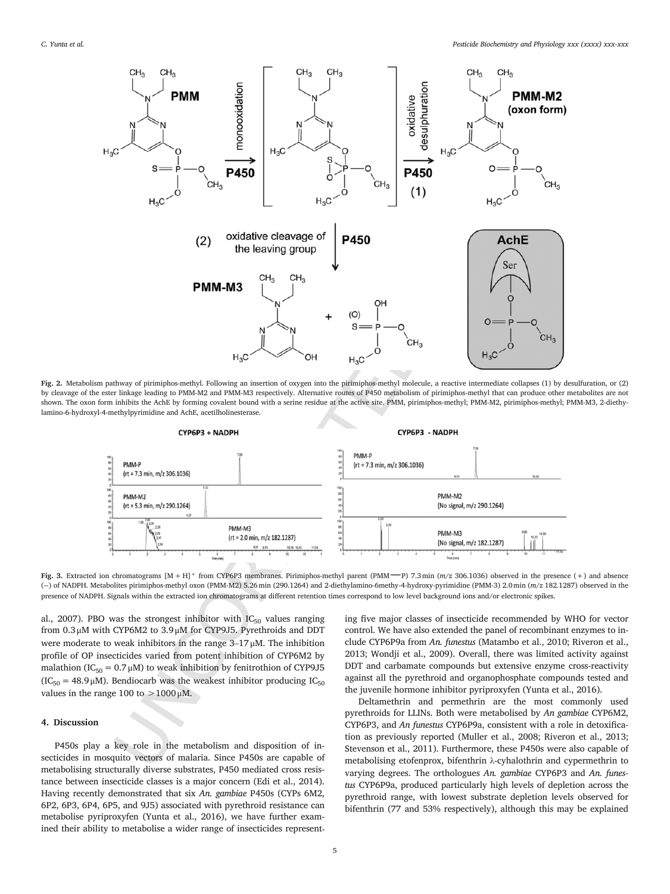

**Fig. 2.** Metabolism pathway of pirimiphos-methyl. Following an insertion of oxygen into the pirimiphos-methyl molecule, a reactive intermediate collapses (1) by desulfuration, or (2) by cleavage of the ester linkage leading to PMM-M2 and PMM-M3 respectively. Alternative routes of P450 metabolism of pirimiphos-methyl that can produce other metabolites are not shown. The oxon form inhibits the AchE by forming covalent bound with a serine residue at the active site. PMM, pirimiphos-methyl; PMM-M2, pirimiphos-methyl; PMM-M3, 2-diethylamino-6-hydroxyl-4-methylpyrimidine and AchE, acetilholinesterase.



**Fig.** 3. Extracted ion chromatograms  $[M+H]^+$  from CYP6P3 membranes. Pirimiphos-methyl parent (PMM - P) 7.3min ( $m/z$  306.1036) observed in the presence (+) and absence (−) of NADPH. Metabolites pirimiphos-methyl oxon (PMM-M2) 5.26min (290.1264) and 2-diethylamino-6methy-4-hydroxy-pyrimidine (PMM-3) 2.0min (*m*/*z* 182.1287) observed in the presence of NADPH. Signals within the extracted ion chromatograms at different retention times correspond to low level background ions and/or electronic spikes.

al., 2007). PBO was the strongest inhibitor with  $IC_{50}$  values ranging from 0.3μM with CYP6M2 to 3.9μM for CYP9J5. Pyrethroids and DDT were moderate to weak inhibitors in the range  $3-17 \mu$ M. The inhibition profile of OP insecticides varied from potent inhibition of CYP6M2 by malathion (IC<sub>50</sub> = 0.7  $\mu$ M) to weak inhibition by fenitrothion of CYP9J5 (IC<sub>50</sub> = 48.9 μM). Bendiocarb was the weakest inhibitor producing IC<sub>50</sub> values in the range 100 to  $>$  1000  $\mu$ M.

# **4. Discussion**

P450s play a key role in the metabolism and disposition of insecticides in mosquito vectors of malaria. Since P450s are capable of metabolising structurally diverse substrates, P450 mediated cross resistance between insecticide classes is a major concern (Edi et al., 2014). Having recently demonstrated that six *An. gambiae* P450s (CYPs 6M2, 6P2, 6P3, 6P4, 6P5, and 9J5) associated with pyrethroid resistance can metabolise pyriproxyfen (Yunta et al., 2016), we have further examined their ability to metabolise a wider range of insecticides represent

ing five major classes of insecticide recommended by WHO for vector control. We have also extended the panel of recombinant enzymes to include CYP6P9a from *An. funestus* (Matambo et al., 2010; Riveron et al., 2013; Wondji et al., 2009). Overall, there was limited activity against DDT and carbamate compounds but extensive enzyme cross-reactivity against all the pyrethroid and organophosphate compounds tested and the juvenile hormone inhibitor pyriproxyfen (Yunta et al., 2016).

Deltamethrin and permethrin are the most commonly used pyrethroids for LLINs. Both were metabolised by *An gambiae* CYP6M2, CYP6P3, and *An funestus* CYP6P9a, consistent with a role in detoxification as previously reported (Muller et al., 2008; Riveron et al., 2013; Stevenson et al., 2011). Furthermore, these P450s were also capable of metabolising etofenprox, bifenthrin λ-cyhalothrin and cypermethrin to varying degrees. The orthologues *An. gambiae* CYP6P3 and *An. funestus* CYP6P9a, produced particularly high levels of depletion across the pyrethroid range, with lowest substrate depletion levels observed for bifenthrin (77 and 53% respectively), although this may be explained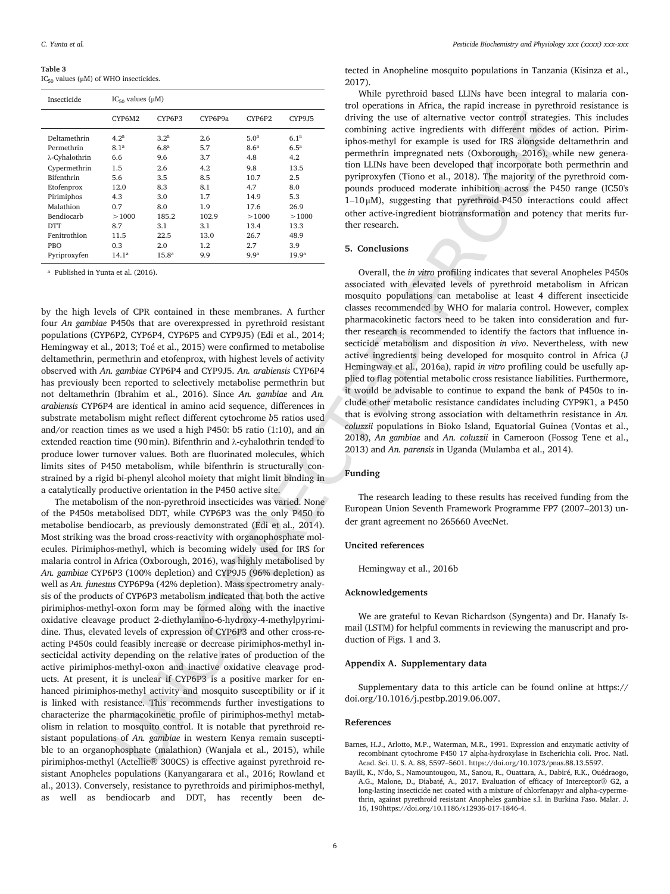#### **Table 3**

IC<sub>50</sub> values ( $\mu$ M) of WHO insecticides.

| Insecticide       | $IC_{50}$ values ( $\mu$ M) |                   |         |                  |                   |
|-------------------|-----------------------------|-------------------|---------|------------------|-------------------|
|                   | CYP6M2                      | CYP6P3            | CYP6P9a | CYP6P2           | CYP9J5            |
| Deltamethrin      | 4.2 <sup>a</sup>            | 3.2 <sup>a</sup>  | 2.6     | 5.0 <sup>a</sup> | 6.1 <sup>a</sup>  |
| Permethrin        | 8.1 <sup>a</sup>            | 6.8 <sup>a</sup>  | 5.7     | 8.6 <sup>a</sup> | 6.5 <sup>a</sup>  |
| λ-Cyhalothrin     | 6.6                         | 9.6               | 3.7     | 4.8              | 4.2               |
| Cypermethrin      | 1.5                         | 2.6               | 4.2     | 9.8              | 13.5              |
| <b>Bifenthrin</b> | 5.6                         | 3.5               | 8.5     | 10.7             | 2.5               |
| Etofenprox        | 12.0                        | 8.3               | 8.1     | 4.7              | 8.0               |
| Pirimiphos        | 4.3                         | 3.0               | 1.7     | 14.9             | 5.3               |
| Malathion         | 0.7                         | 8.0               | 1.9     | 17.6             | 26.9              |
| Bendiocarb        | >1000                       | 185.2             | 102.9   | >1000            | >1000             |
| <b>DTT</b>        | 8.7                         | 3.1               | 3.1     | 13.4             | 13.3              |
| Fenitrothion      | 11.5                        | 22.5              | 13.0    | 26.7             | 48.9              |
| PBO               | 0.3                         | 2.0               | 1.2     | 2.7              | 3.9               |
| Pyriproxyfen      | 14.1 <sup>a</sup>           | 15.8 <sup>a</sup> | 9.9     | 9.9 <sup>a</sup> | 19.9 <sup>a</sup> |

a Published in Yunta et al. (2016).

by the high levels of CPR contained in these membranes. A further four *An gambiae* P450s that are overexpressed in pyrethroid resistant populations (CYP6P2, CYP6P4, CYP6P5 and CYP9J5) (Edi et al., 2014; Hemingway et al., 2013; Toé et al., 2015) were confirmed to metabolise deltamethrin, permethrin and etofenprox, with highest levels of activity observed with *An. gambiae* CYP6P4 and CYP9J5. *An. arabiensis* CYP6P4 has previously been reported to selectively metabolise permethrin but not deltamethrin (Ibrahim et al., 2016). Since *An. gambiae* and *An. arabiensis* CYP6P4 are identical in amino acid sequence, differences in substrate metabolism might reflect different cytochrome *b*5 ratios used and/or reaction times as we used a high P450: b5 ratio (1:10), and an extended reaction time (90min). Bifenthrin and λ-cyhalothrin tended to produce lower turnover values. Both are fluorinated molecules, which limits sites of P450 metabolism, while bifenthrin is structurally constrained by a rigid bi-phenyl alcohol moiety that might limit binding in a catalytically productive orientation in the P450 active site.

CYCRES CREATES (and the plane of alternative vertex cosmic CYCRES (and the specifical state of active set of active set of active set of active set of active set of active set of active set of active set of active set of The metabolism of the non-pyrethroid insecticides was varied. None of the P450s metabolised DDT, while CYP6P3 was the only P450 to metabolise bendiocarb, as previously demonstrated (Edi et al., 2014). Most striking was the broad cross-reactivity with organophosphate molecules. Pirimiphos-methyl, which is becoming widely used for IRS for malaria control in Africa (Oxborough, 2016), was highly metabolised by *An. gambiae* CYP6P3 (100% depletion) and CYP9J5 (96% depletion) as well as *An. funestus* CYP6P9a (42% depletion). Mass spectrometry analysis of the products of CYP6P3 metabolism indicated that both the active pirimiphos-methyl-oxon form may be formed along with the inactive oxidative cleavage product 2-diethylamino-6-hydroxy-4-methylpyrimidine. Thus, elevated levels of expression of CYP6P3 and other cross-reacting P450s could feasibly increase or decrease pirimiphos-methyl insecticidal activity depending on the relative rates of production of the active pirimiphos-methyl-oxon and inactive oxidative cleavage products. At present, it is unclear if CYP6P3 is a positive marker for enhanced pirimiphos-methyl activity and mosquito susceptibility or if it is linked with resistance. This recommends further investigations to characterize the pharmacokinetic profile of pirimiphos-methyl metabolism in relation to mosquito control. It is notable that pyrethroid resistant populations of *An. gambiae* in western Kenya remain susceptible to an organophosphate (malathion) (Wanjala et al., 2015), while pirimiphos-methyl (Actellic® 300CS) is effective against pyrethroid resistant Anopheles populations (Kanyangarara et al., 2016; Rowland et al., 2013). Conversely, resistance to pyrethroids and pirimiphos-methyl, as well as bendiocarb and DDT, has recently been de

tected in Anopheline mosquito populations in Tanzania (Kisinza et al., 2017).

While pyrethroid based LLINs have been integral to malaria control operations in Africa, the rapid increase in pyrethroid resistance is driving the use of alternative vector control strategies. This includes combining active ingredients with different modes of action. Pirimiphos-methyl for example is used for IRS alongside deltamethrin and permethrin impregnated nets (Oxborough, 2016), while new generation LLINs have been developed that incorporate both permethrin and pyriproxyfen (Tiono et al., 2018). The majority of the pyrethroid compounds produced moderate inhibition across the P450 range (IC50's 1–10μM), suggesting that pyrethroid-P450 interactions could affect other active-ingredient biotransformation and potency that merits further research.

## **5. Conclusions**

Overall, the *in vitro* profiling indicates that several Anopheles P450s associated with elevated levels of pyrethroid metabolism in African mosquito populations can metabolise at least 4 different insecticide classes recommended by WHO for malaria control. However, complex pharmacokinetic factors need to be taken into consideration and further research is recommended to identify the factors that influence insecticide metabolism and disposition *in vivo*. Nevertheless, with new active ingredients being developed for mosquito control in Africa (J Hemingway et al., 2016a), rapid *in vitro* profiling could be usefully applied to flag potential metabolic cross resistance liabilities. Furthermore, it would be advisable to continue to expand the bank of P450s to include other metabolic resistance candidates including CYP9K1, a P450 that is evolving strong association with deltamethrin resistance in *An. coluzzii* populations in Bioko Island, Equatorial Guinea (Vontas et al., 2018), *An gambiae* and *An. coluzzii* in Cameroon (Fossog Tene et al., 2013) and *An. parensis* in Uganda (Mulamba et al., 2014).

#### **Funding**

The research leading to these results has received funding from the European Union Seventh Framework Programme FP7 (2007–2013) under grant agreement no 265660 AvecNet.

#### **Uncited references**

Hemingway et al., 2016b

## **Acknowledgements**

We are grateful to Kevan Richardson (Syngenta) and Dr. Hanafy Ismail (LSTM) for helpful comments in reviewing the manuscript and production of Figs. 1 and 3.

## **Appendix A. Supplementary data**

Supplementary data to this article can be found online at https:// doi.org/10.1016/j.pestbp.2019.06.007.

#### **References**

- Barnes, H.J., Arlotto, M.P., Waterman, M.R., 1991. Expression and enzymatic activity of recombinant cytochrome P450 17 alpha-hydroxylase in Escherichia coli. Proc. Natl. Acad. Sci. U. S. A. 88, 5597–5601. https://doi.org/10.1073/pnas.88.13.5597.
- Bayili, K., N'do, S., Namountougou, M., Sanou, R., Ouattara, A., Dabiré, R.K., Ouédraogo, A.G., Malone, D., Diabaté, A., 2017. Evaluation of efficacy of Interceptor® G2, a long-lasting insecticide net coated with a mixture of chlorfenapyr and alpha-cypermethrin, against pyrethroid resistant Anopheles gambiae s.l. in Burkina Faso. Malar. J. 16, 190https://doi.org/10.1186/s12936-017-1846-4.